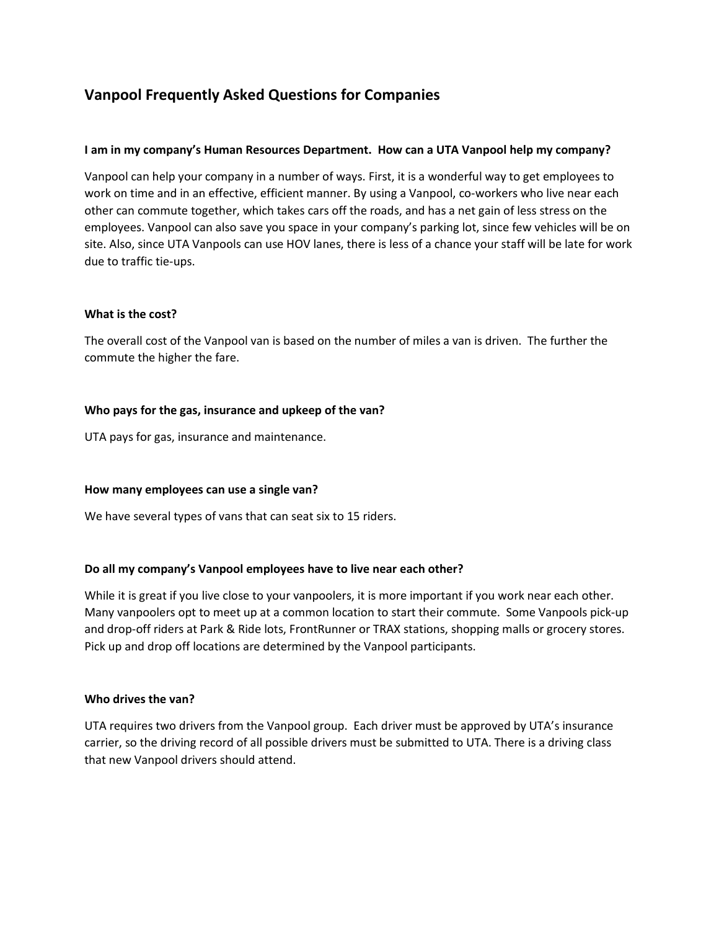# **Vanpool Frequently Asked Questions for Companies**

#### **I am in my company's Human Resources Department. How can a UTA Vanpool help my company?**

Vanpool can help your company in a number of ways. First, it is a wonderful way to get employees to work on time and in an effective, efficient manner. By using a Vanpool, co-workers who live near each other can commute together, which takes cars off the roads, and has a net gain of less stress on the employees. Vanpool can also save you space in your company's parking lot, since few vehicles will be on site. Also, since UTA Vanpools can use HOV lanes, there is less of a chance your staff will be late for work due to traffic tie-ups.

#### **What is the cost?**

The overall cost of the Vanpool van is based on the number of miles a van is driven. The further the commute the higher the fare.

## **Who pays for the gas, insurance and upkeep of the van?**

UTA pays for gas, insurance and maintenance.

#### **How many employees can use a single van?**

We have several types of vans that can seat six to 15 riders.

#### **Do all my company's Vanpool employees have to live near each other?**

While it is great if you live close to your vanpoolers, it is more important if you work near each other. Many vanpoolers opt to meet up at a common location to start their commute. Some Vanpools pick-up and drop-off riders at Park & Ride lots, FrontRunner or TRAX stations, shopping malls or grocery stores. Pick up and drop off locations are determined by the Vanpool participants.

#### **Who drives the van?**

UTA requires two drivers from the Vanpool group. Each driver must be approved by UTA's insurance carrier, so the driving record of all possible drivers must be submitted to UTA. There is a driving class that new Vanpool drivers should attend.